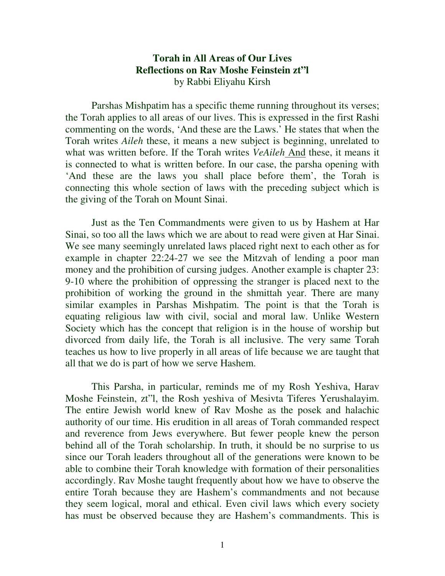## **Torah in All Areas of Our Lives Reflections on Rav Moshe Feinstein zt"l**  by Rabbi Eliyahu Kirsh

Parshas Mishpatim has a specific theme running throughout its verses; the Torah applies to all areas of our lives. This is expressed in the first Rashi commenting on the words, 'And these are the Laws.' He states that when the Torah writes *Aileh* these, it means a new subject is beginning, unrelated to what was written before. If the Torah writes *VeAileh* And these, it means it is connected to what is written before. In our case, the parsha opening with 'And these are the laws you shall place before them', the Torah is connecting this whole section of laws with the preceding subject which is the giving of the Torah on Mount Sinai.

Just as the Ten Commandments were given to us by Hashem at Har Sinai, so too all the laws which we are about to read were given at Har Sinai. We see many seemingly unrelated laws placed right next to each other as for example in chapter 22:24-27 we see the Mitzvah of lending a poor man money and the prohibition of cursing judges. Another example is chapter 23: 9-10 where the prohibition of oppressing the stranger is placed next to the prohibition of working the ground in the shmittah year. There are many similar examples in Parshas Mishpatim. The point is that the Torah is equating religious law with civil, social and moral law. Unlike Western Society which has the concept that religion is in the house of worship but divorced from daily life, the Torah is all inclusive. The very same Torah teaches us how to live properly in all areas of life because we are taught that all that we do is part of how we serve Hashem.

 This Parsha, in particular, reminds me of my Rosh Yeshiva, Harav Moshe Feinstein, zt"l, the Rosh yeshiva of Mesivta Tiferes Yerushalayim. The entire Jewish world knew of Rav Moshe as the posek and halachic authority of our time. His erudition in all areas of Torah commanded respect and reverence from Jews everywhere. But fewer people knew the person behind all of the Torah scholarship. In truth, it should be no surprise to us since our Torah leaders throughout all of the generations were known to be able to combine their Torah knowledge with formation of their personalities accordingly. Rav Moshe taught frequently about how we have to observe the entire Torah because they are Hashem's commandments and not because they seem logical, moral and ethical. Even civil laws which every society has must be observed because they are Hashem's commandments. This is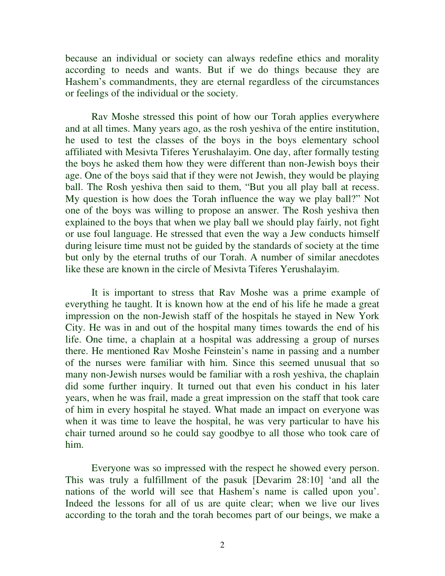because an individual or society can always redefine ethics and morality according to needs and wants. But if we do things because they are Hashem's commandments, they are eternal regardless of the circumstances or feelings of the individual or the society.

Rav Moshe stressed this point of how our Torah applies everywhere and at all times. Many years ago, as the rosh yeshiva of the entire institution, he used to test the classes of the boys in the boys elementary school affiliated with Mesivta Tiferes Yerushalayim. One day, after formally testing the boys he asked them how they were different than non-Jewish boys their age. One of the boys said that if they were not Jewish, they would be playing ball. The Rosh yeshiva then said to them, "But you all play ball at recess. My question is how does the Torah influence the way we play ball?" Not one of the boys was willing to propose an answer. The Rosh yeshiva then explained to the boys that when we play ball we should play fairly, not fight or use foul language. He stressed that even the way a Jew conducts himself during leisure time must not be guided by the standards of society at the time but only by the eternal truths of our Torah. A number of similar anecdotes like these are known in the circle of Mesivta Tiferes Yerushalayim.

 It is important to stress that Rav Moshe was a prime example of everything he taught. It is known how at the end of his life he made a great impression on the non-Jewish staff of the hospitals he stayed in New York City. He was in and out of the hospital many times towards the end of his life. One time, a chaplain at a hospital was addressing a group of nurses there. He mentioned Rav Moshe Feinstein's name in passing and a number of the nurses were familiar with him. Since this seemed unusual that so many non-Jewish nurses would be familiar with a rosh yeshiva, the chaplain did some further inquiry. It turned out that even his conduct in his later years, when he was frail, made a great impression on the staff that took care of him in every hospital he stayed. What made an impact on everyone was when it was time to leave the hospital, he was very particular to have his chair turned around so he could say goodbye to all those who took care of him.

Everyone was so impressed with the respect he showed every person. This was truly a fulfillment of the pasuk [Devarim 28:10] 'and all the nations of the world will see that Hashem's name is called upon you'. Indeed the lessons for all of us are quite clear; when we live our lives according to the torah and the torah becomes part of our beings, we make a